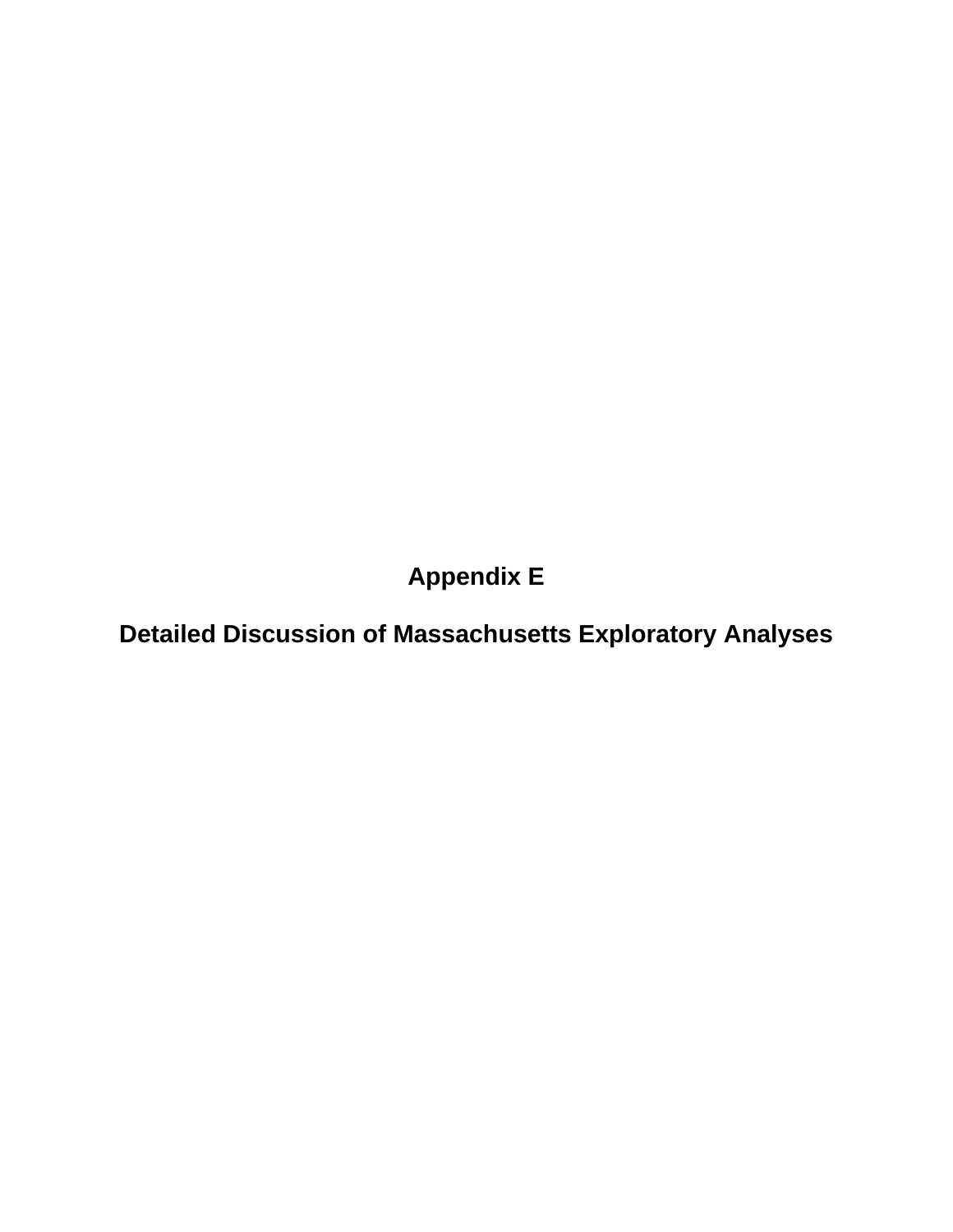**Appendix E** 

**Detailed Discussion of Massachusetts Exploratory Analyses**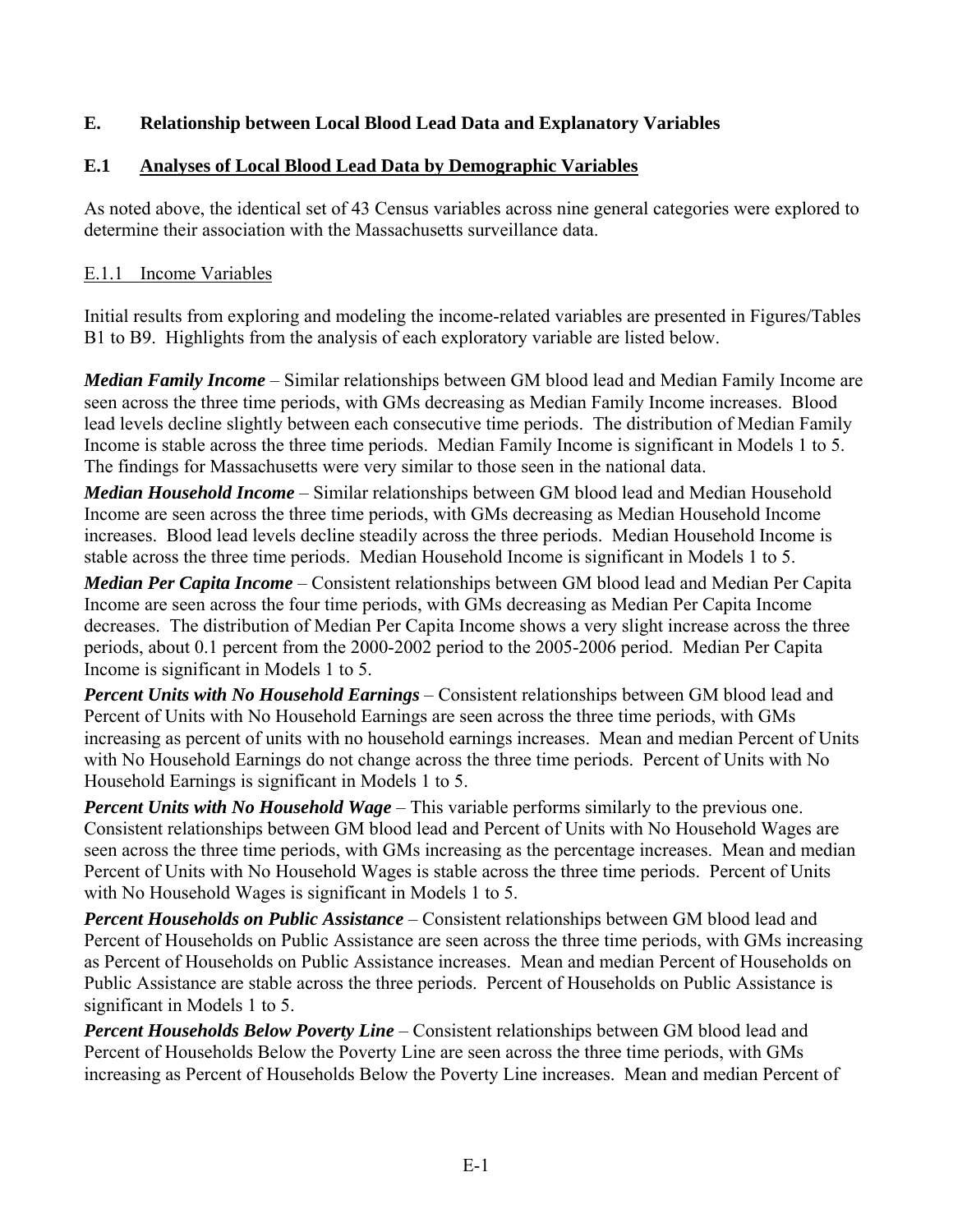## **E. Relationship between Local Blood Lead Data and Explanatory Variables**

## **E.1 Analyses of Local Blood Lead Data by Demographic Variables**

As noted above, the identical set of 43 Census variables across nine general categories were explored to determine their association with the Massachusetts surveillance data.

#### E.1.1 Income Variables

Initial results from exploring and modeling the income-related variables are presented in Figures/Tables B1 to B9. Highlights from the analysis of each exploratory variable are listed below.

*Median Family Income* – Similar relationships between GM blood lead and Median Family Income are seen across the three time periods, with GMs decreasing as Median Family Income increases. Blood lead levels decline slightly between each consecutive time periods. The distribution of Median Family Income is stable across the three time periods. Median Family Income is significant in Models 1 to 5. The findings for Massachusetts were very similar to those seen in the national data.

*Median Household Income* – Similar relationships between GM blood lead and Median Household Income are seen across the three time periods, with GMs decreasing as Median Household Income increases. Blood lead levels decline steadily across the three periods. Median Household Income is stable across the three time periods. Median Household Income is significant in Models 1 to 5.

*Median Per Capita Income* – Consistent relationships between GM blood lead and Median Per Capita Income are seen across the four time periods, with GMs decreasing as Median Per Capita Income decreases. The distribution of Median Per Capita Income shows a very slight increase across the three periods, about 0.1 percent from the 2000-2002 period to the 2005-2006 period. Median Per Capita Income is significant in Models 1 to 5.

*Percent Units with No Household Earnings* – Consistent relationships between GM blood lead and Percent of Units with No Household Earnings are seen across the three time periods, with GMs increasing as percent of units with no household earnings increases. Mean and median Percent of Units with No Household Earnings do not change across the three time periods. Percent of Units with No Household Earnings is significant in Models 1 to 5.

*Percent Units with No Household Wage* – This variable performs similarly to the previous one. Consistent relationships between GM blood lead and Percent of Units with No Household Wages are seen across the three time periods, with GMs increasing as the percentage increases. Mean and median Percent of Units with No Household Wages is stable across the three time periods. Percent of Units with No Household Wages is significant in Models 1 to 5.

*Percent Households on Public Assistance* – Consistent relationships between GM blood lead and Percent of Households on Public Assistance are seen across the three time periods, with GMs increasing as Percent of Households on Public Assistance increases. Mean and median Percent of Households on Public Assistance are stable across the three periods. Percent of Households on Public Assistance is significant in Models 1 to 5.

*Percent Households Below Poverty Line* – Consistent relationships between GM blood lead and Percent of Households Below the Poverty Line are seen across the three time periods, with GMs increasing as Percent of Households Below the Poverty Line increases. Mean and median Percent of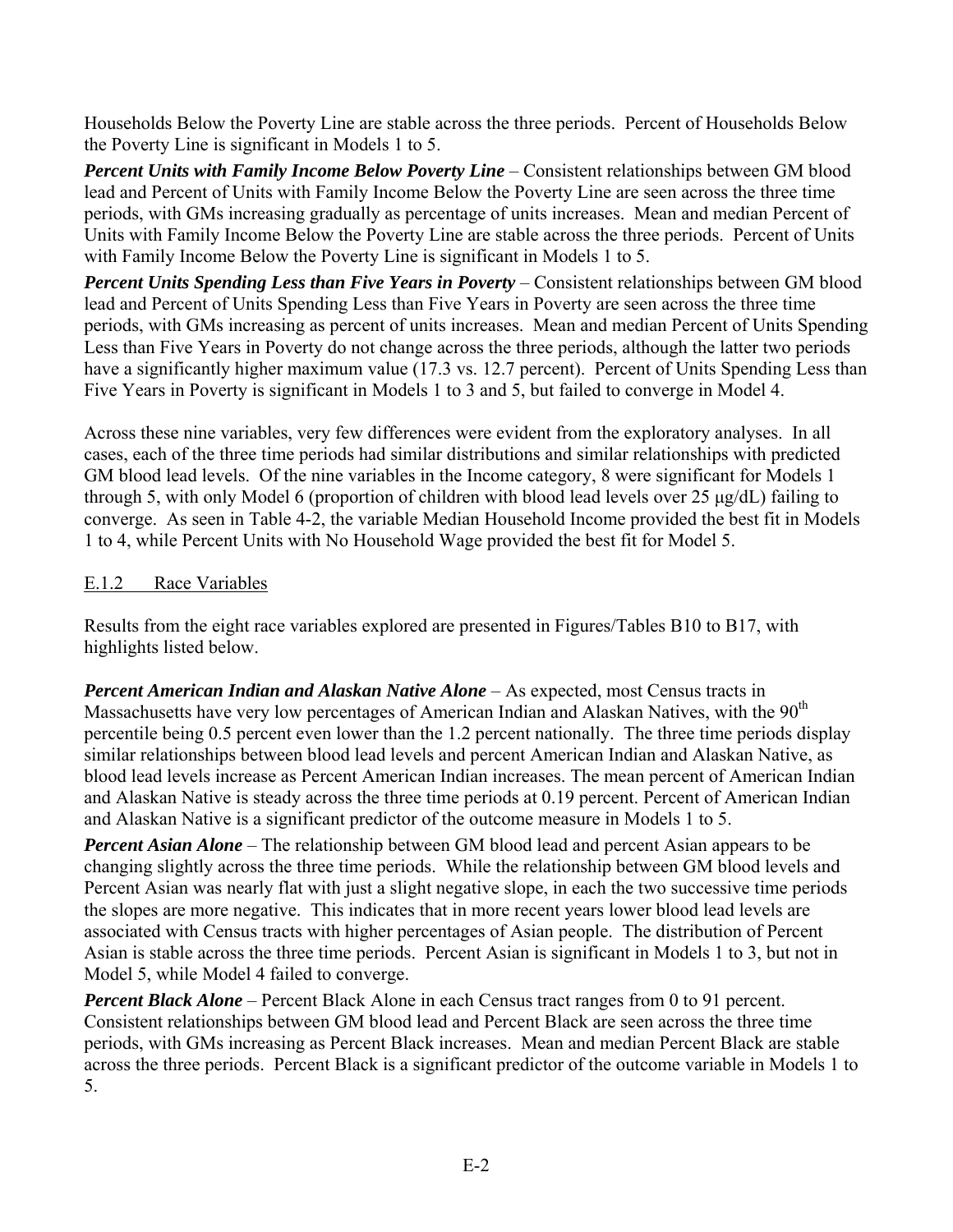Households Below the Poverty Line are stable across the three periods. Percent of Households Below the Poverty Line is significant in Models 1 to 5.

*Percent Units with Family Income Below Poverty Line* – Consistent relationships between GM blood lead and Percent of Units with Family Income Below the Poverty Line are seen across the three time periods, with GMs increasing gradually as percentage of units increases. Mean and median Percent of Units with Family Income Below the Poverty Line are stable across the three periods. Percent of Units with Family Income Below the Poverty Line is significant in Models 1 to 5.

*Percent Units Spending Less than Five Years in Poverty* – Consistent relationships between GM blood lead and Percent of Units Spending Less than Five Years in Poverty are seen across the three time periods, with GMs increasing as percent of units increases. Mean and median Percent of Units Spending Less than Five Years in Poverty do not change across the three periods, although the latter two periods have a significantly higher maximum value (17.3 vs. 12.7 percent). Percent of Units Spending Less than Five Years in Poverty is significant in Models 1 to 3 and 5, but failed to converge in Model 4.

Across these nine variables, very few differences were evident from the exploratory analyses. In all cases, each of the three time periods had similar distributions and similar relationships with predicted GM blood lead levels. Of the nine variables in the Income category, 8 were significant for Models 1 through 5, with only Model 6 (proportion of children with blood lead levels over 25 μg/dL) failing to converge. As seen in Table 4-2, the variable Median Household Income provided the best fit in Models 1 to 4, while Percent Units with No Household Wage provided the best fit for Model 5.

### E.1.2 Race Variables

Results from the eight race variables explored are presented in Figures/Tables B10 to B17, with highlights listed below.

*Percent American Indian and Alaskan Native Alone* – As expected, most Census tracts in Massachusetts have very low percentages of American Indian and Alaskan Natives, with the 90<sup>th</sup> percentile being 0.5 percent even lower than the 1.2 percent nationally. The three time periods display similar relationships between blood lead levels and percent American Indian and Alaskan Native, as blood lead levels increase as Percent American Indian increases. The mean percent of American Indian and Alaskan Native is steady across the three time periods at 0.19 percent. Percent of American Indian and Alaskan Native is a significant predictor of the outcome measure in Models 1 to 5.

*Percent Asian Alone* – The relationship between GM blood lead and percent Asian appears to be changing slightly across the three time periods. While the relationship between GM blood levels and Percent Asian was nearly flat with just a slight negative slope, in each the two successive time periods the slopes are more negative. This indicates that in more recent years lower blood lead levels are associated with Census tracts with higher percentages of Asian people. The distribution of Percent Asian is stable across the three time periods. Percent Asian is significant in Models 1 to 3, but not in Model 5, while Model 4 failed to converge.

*Percent Black Alone* – Percent Black Alone in each Census tract ranges from 0 to 91 percent. Consistent relationships between GM blood lead and Percent Black are seen across the three time periods, with GMs increasing as Percent Black increases. Mean and median Percent Black are stable across the three periods. Percent Black is a significant predictor of the outcome variable in Models 1 to 5.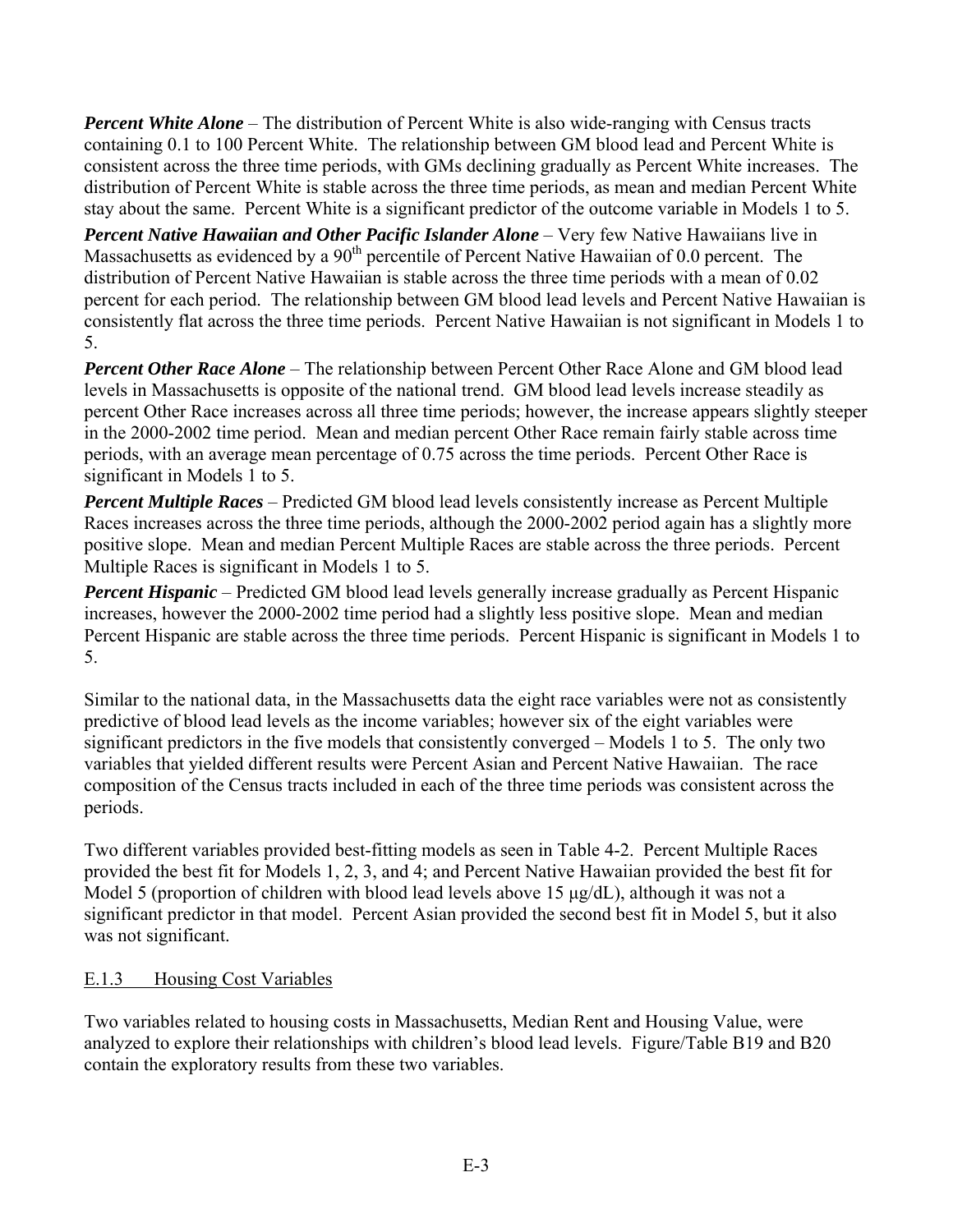*Percent White Alone* – The distribution of Percent White is also wide-ranging with Census tracts containing 0.1 to 100 Percent White. The relationship between GM blood lead and Percent White is consistent across the three time periods, with GMs declining gradually as Percent White increases. The distribution of Percent White is stable across the three time periods, as mean and median Percent White stay about the same. Percent White is a significant predictor of the outcome variable in Models 1 to 5.

*Percent Native Hawaiian and Other Pacific Islander Alone* – Very few Native Hawaiians live in Massachusetts as evidenced by a 90<sup>th</sup> percentile of Percent Native Hawaiian of 0.0 percent. The distribution of Percent Native Hawaiian is stable across the three time periods with a mean of 0.02 percent for each period. The relationship between GM blood lead levels and Percent Native Hawaiian is consistently flat across the three time periods. Percent Native Hawaiian is not significant in Models 1 to 5.

*Percent Other Race Alone* – The relationship between Percent Other Race Alone and GM blood lead levels in Massachusetts is opposite of the national trend. GM blood lead levels increase steadily as percent Other Race increases across all three time periods; however, the increase appears slightly steeper in the 2000-2002 time period. Mean and median percent Other Race remain fairly stable across time periods, with an average mean percentage of 0.75 across the time periods. Percent Other Race is significant in Models 1 to 5.

*Percent Multiple Races* – Predicted GM blood lead levels consistently increase as Percent Multiple Races increases across the three time periods, although the 2000-2002 period again has a slightly more positive slope. Mean and median Percent Multiple Races are stable across the three periods. Percent Multiple Races is significant in Models 1 to 5.

*Percent Hispanic* – Predicted GM blood lead levels generally increase gradually as Percent Hispanic increases, however the 2000-2002 time period had a slightly less positive slope. Mean and median Percent Hispanic are stable across the three time periods. Percent Hispanic is significant in Models 1 to 5.

Similar to the national data, in the Massachusetts data the eight race variables were not as consistently predictive of blood lead levels as the income variables; however six of the eight variables were significant predictors in the five models that consistently converged – Models 1 to 5. The only two variables that yielded different results were Percent Asian and Percent Native Hawaiian. The race composition of the Census tracts included in each of the three time periods was consistent across the periods.

Two different variables provided best-fitting models as seen in Table 4-2. Percent Multiple Races provided the best fit for Models 1, 2, 3, and 4; and Percent Native Hawaiian provided the best fit for Model 5 (proportion of children with blood lead levels above 15 μg/dL), although it was not a significant predictor in that model. Percent Asian provided the second best fit in Model 5, but it also was not significant.

#### E.1.3 Housing Cost Variables

Two variables related to housing costs in Massachusetts, Median Rent and Housing Value, were analyzed to explore their relationships with children's blood lead levels. Figure/Table B19 and B20 contain the exploratory results from these two variables.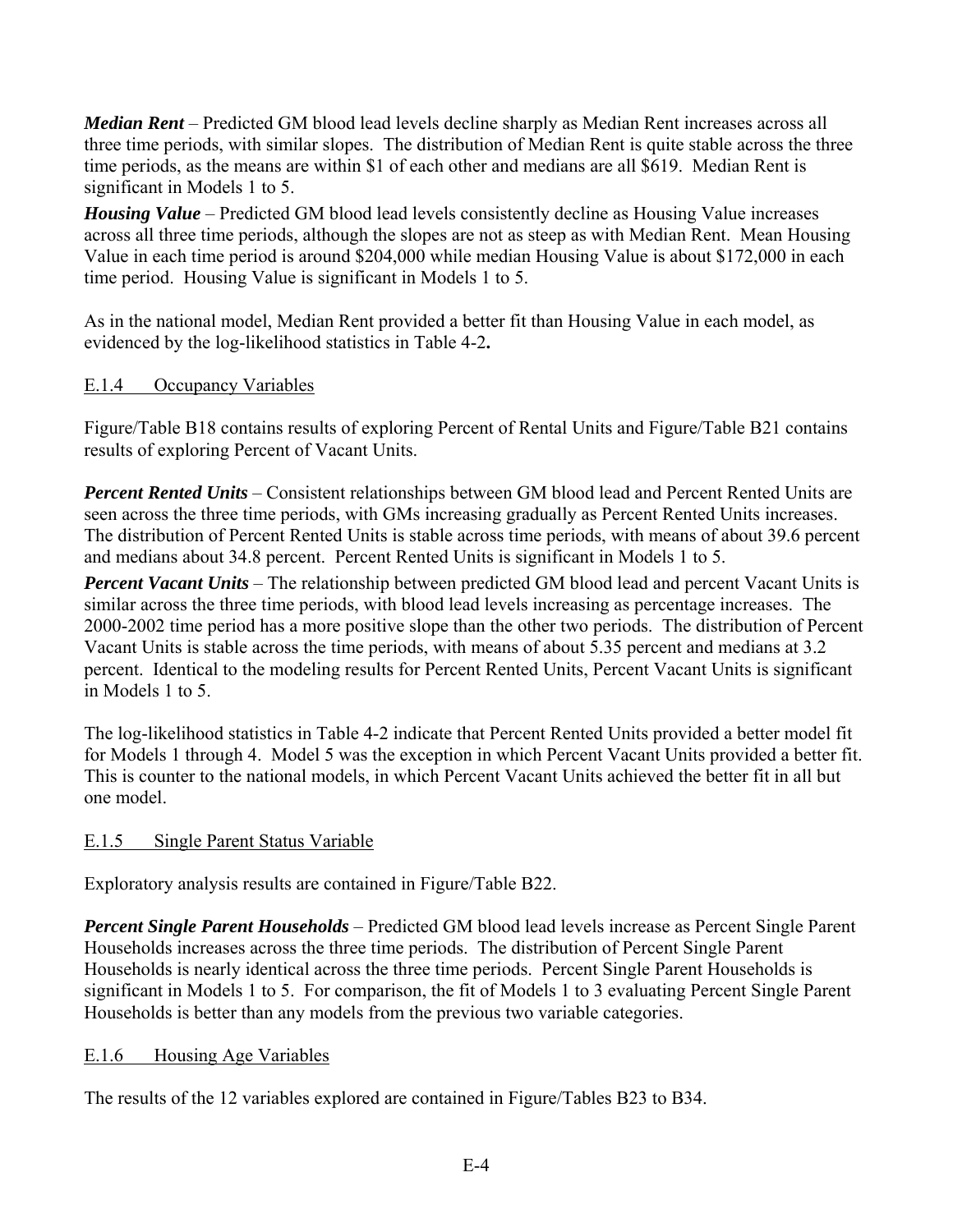*Median Rent* – Predicted GM blood lead levels decline sharply as Median Rent increases across all three time periods, with similar slopes. The distribution of Median Rent is quite stable across the three time periods, as the means are within \$1 of each other and medians are all \$619. Median Rent is significant in Models 1 to 5.

*Housing Value* – Predicted GM blood lead levels consistently decline as Housing Value increases across all three time periods, although the slopes are not as steep as with Median Rent. Mean Housing Value in each time period is around \$204,000 while median Housing Value is about \$172,000 in each time period. Housing Value is significant in Models 1 to 5.

As in the national model, Median Rent provided a better fit than Housing Value in each model, as evidenced by the log-likelihood statistics in Table 4-2**.** 

### E.1.4 Occupancy Variables

Figure/Table B18 contains results of exploring Percent of Rental Units and Figure/Table B21 contains results of exploring Percent of Vacant Units.

*Percent Rented Units* – Consistent relationships between GM blood lead and Percent Rented Units are seen across the three time periods, with GMs increasing gradually as Percent Rented Units increases. The distribution of Percent Rented Units is stable across time periods, with means of about 39.6 percent and medians about 34.8 percent. Percent Rented Units is significant in Models 1 to 5.

*Percent Vacant Units* – The relationship between predicted GM blood lead and percent Vacant Units is similar across the three time periods, with blood lead levels increasing as percentage increases. The 2000-2002 time period has a more positive slope than the other two periods. The distribution of Percent Vacant Units is stable across the time periods, with means of about 5.35 percent and medians at 3.2 percent. Identical to the modeling results for Percent Rented Units, Percent Vacant Units is significant in Models 1 to 5.

The log-likelihood statistics in Table 4-2 indicate that Percent Rented Units provided a better model fit for Models 1 through 4. Model 5 was the exception in which Percent Vacant Units provided a better fit. This is counter to the national models, in which Percent Vacant Units achieved the better fit in all but one model.

#### E.1.5 Single Parent Status Variable

Exploratory analysis results are contained in Figure/Table B22.

*Percent Single Parent Households* – Predicted GM blood lead levels increase as Percent Single Parent Households increases across the three time periods. The distribution of Percent Single Parent Households is nearly identical across the three time periods. Percent Single Parent Households is significant in Models 1 to 5. For comparison, the fit of Models 1 to 3 evaluating Percent Single Parent Households is better than any models from the previous two variable categories.

## E.1.6 Housing Age Variables

The results of the 12 variables explored are contained in Figure/Tables B23 to B34.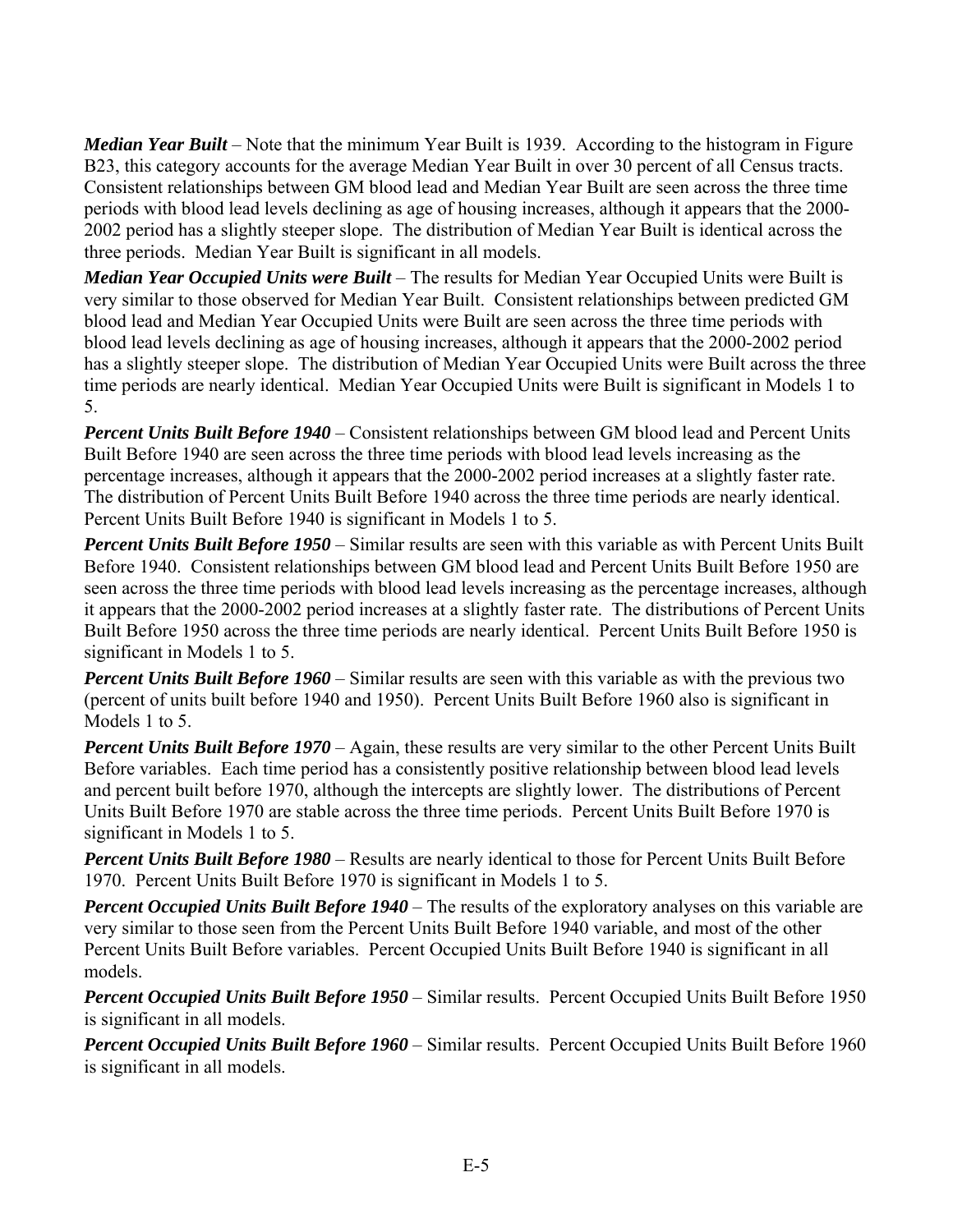*Median Year Built* – Note that the minimum Year Built is 1939. According to the histogram in Figure B23, this category accounts for the average Median Year Built in over 30 percent of all Census tracts. Consistent relationships between GM blood lead and Median Year Built are seen across the three time periods with blood lead levels declining as age of housing increases, although it appears that the 2000- 2002 period has a slightly steeper slope. The distribution of Median Year Built is identical across the three periods. Median Year Built is significant in all models.

*Median Year Occupied Units were Built* – The results for Median Year Occupied Units were Built is very similar to those observed for Median Year Built. Consistent relationships between predicted GM blood lead and Median Year Occupied Units were Built are seen across the three time periods with blood lead levels declining as age of housing increases, although it appears that the 2000-2002 period has a slightly steeper slope. The distribution of Median Year Occupied Units were Built across the three time periods are nearly identical. Median Year Occupied Units were Built is significant in Models 1 to 5.

*Percent Units Built Before 1940* – Consistent relationships between GM blood lead and Percent Units Built Before 1940 are seen across the three time periods with blood lead levels increasing as the percentage increases, although it appears that the 2000-2002 period increases at a slightly faster rate. The distribution of Percent Units Built Before 1940 across the three time periods are nearly identical. Percent Units Built Before 1940 is significant in Models 1 to 5.

*Percent Units Built Before 1950* – Similar results are seen with this variable as with Percent Units Built Before 1940. Consistent relationships between GM blood lead and Percent Units Built Before 1950 are seen across the three time periods with blood lead levels increasing as the percentage increases, although it appears that the 2000-2002 period increases at a slightly faster rate. The distributions of Percent Units Built Before 1950 across the three time periods are nearly identical. Percent Units Built Before 1950 is significant in Models 1 to 5.

*Percent Units Built Before 1960* – Similar results are seen with this variable as with the previous two (percent of units built before 1940 and 1950). Percent Units Built Before 1960 also is significant in Models 1 to 5.

*Percent Units Built Before 1970* – Again, these results are very similar to the other Percent Units Built Before variables. Each time period has a consistently positive relationship between blood lead levels and percent built before 1970, although the intercepts are slightly lower. The distributions of Percent Units Built Before 1970 are stable across the three time periods. Percent Units Built Before 1970 is significant in Models 1 to 5.

*Percent Units Built Before 1980* – Results are nearly identical to those for Percent Units Built Before 1970. Percent Units Built Before 1970 is significant in Models 1 to 5.

*Percent Occupied Units Built Before 1940* – The results of the exploratory analyses on this variable are very similar to those seen from the Percent Units Built Before 1940 variable, and most of the other Percent Units Built Before variables. Percent Occupied Units Built Before 1940 is significant in all models.

*Percent Occupied Units Built Before 1950* – Similar results. Percent Occupied Units Built Before 1950 is significant in all models.

*Percent Occupied Units Built Before 1960* – Similar results. Percent Occupied Units Built Before 1960 is significant in all models.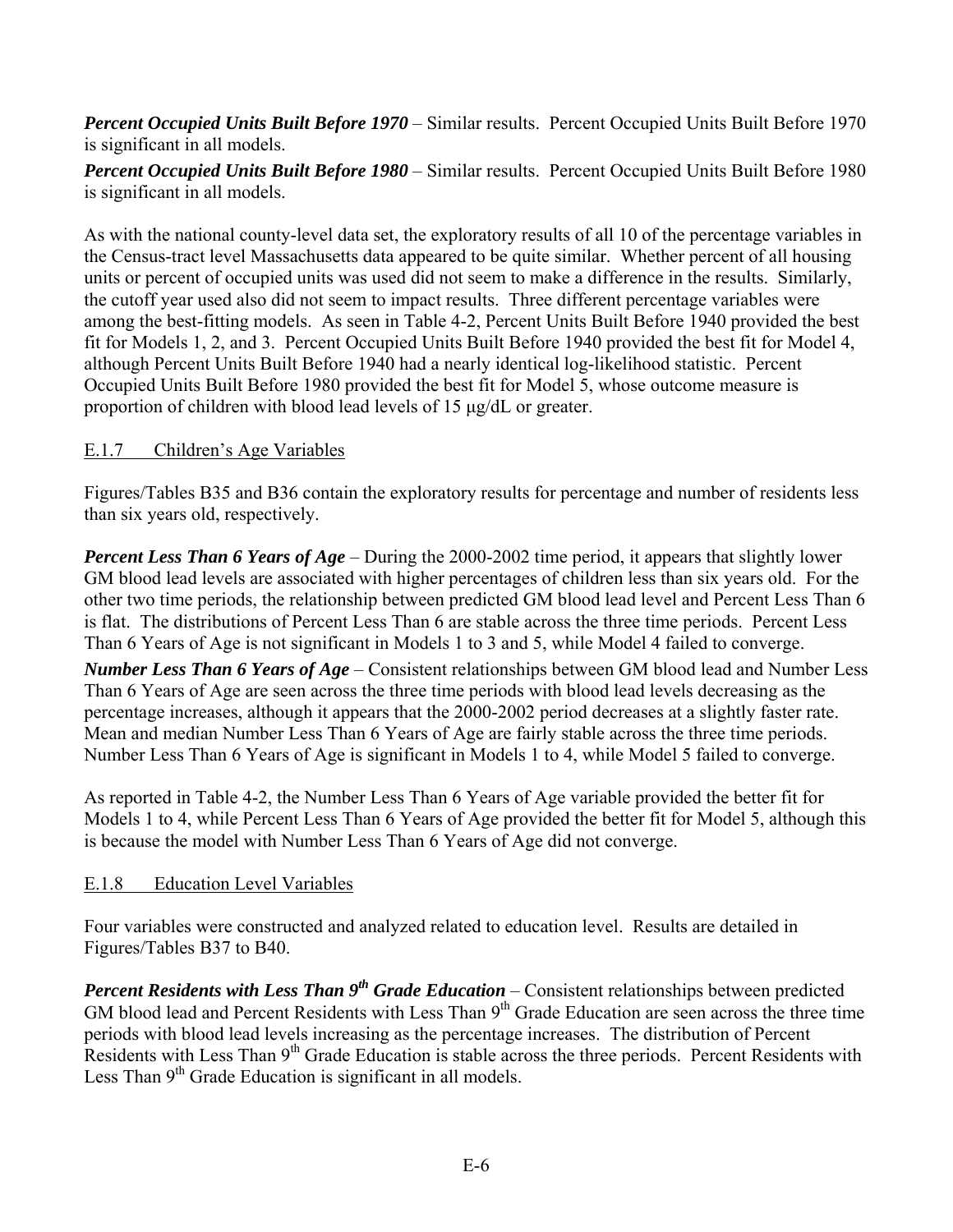*Percent Occupied Units Built Before 1970* – Similar results. Percent Occupied Units Built Before 1970 is significant in all models.

*Percent Occupied Units Built Before 1980* – Similar results. Percent Occupied Units Built Before 1980 is significant in all models.

As with the national county-level data set, the exploratory results of all 10 of the percentage variables in the Census-tract level Massachusetts data appeared to be quite similar. Whether percent of all housing units or percent of occupied units was used did not seem to make a difference in the results. Similarly, the cutoff year used also did not seem to impact results. Three different percentage variables were among the best-fitting models. As seen in Table 4-2, Percent Units Built Before 1940 provided the best fit for Models 1, 2, and 3. Percent Occupied Units Built Before 1940 provided the best fit for Model 4, although Percent Units Built Before 1940 had a nearly identical log-likelihood statistic. Percent Occupied Units Built Before 1980 provided the best fit for Model 5, whose outcome measure is proportion of children with blood lead levels of 15 μg/dL or greater.

### E.1.7 Children's Age Variables

Figures/Tables B35 and B36 contain the exploratory results for percentage and number of residents less than six years old, respectively.

*Percent Less Than 6 Years of Age* – During the 2000-2002 time period, it appears that slightly lower GM blood lead levels are associated with higher percentages of children less than six years old. For the other two time periods, the relationship between predicted GM blood lead level and Percent Less Than 6 is flat. The distributions of Percent Less Than 6 are stable across the three time periods. Percent Less Than 6 Years of Age is not significant in Models 1 to 3 and 5, while Model 4 failed to converge.

*Number Less Than 6 Years of Age* – Consistent relationships between GM blood lead and Number Less Than 6 Years of Age are seen across the three time periods with blood lead levels decreasing as the percentage increases, although it appears that the 2000-2002 period decreases at a slightly faster rate. Mean and median Number Less Than 6 Years of Age are fairly stable across the three time periods. Number Less Than 6 Years of Age is significant in Models 1 to 4, while Model 5 failed to converge.

As reported in Table 4-2, the Number Less Than 6 Years of Age variable provided the better fit for Models 1 to 4, while Percent Less Than 6 Years of Age provided the better fit for Model 5, although this is because the model with Number Less Than 6 Years of Age did not converge.

#### E.1.8 Education Level Variables

Four variables were constructed and analyzed related to education level. Results are detailed in Figures/Tables B37 to B40.

*Percent Residents with Less Than 9<sup>th</sup> Grade Education* – Consistent relationships between predicted GM blood lead and Percent Residents with Less Than 9<sup>th</sup> Grade Education are seen across the three time periods with blood lead levels increasing as the percentage increases. The distribution of Percent Residents with Less Than  $9<sup>th</sup>$  Grade Education is stable across the three periods. Percent Residents with Less Than 9<sup>th</sup> Grade Education is significant in all models.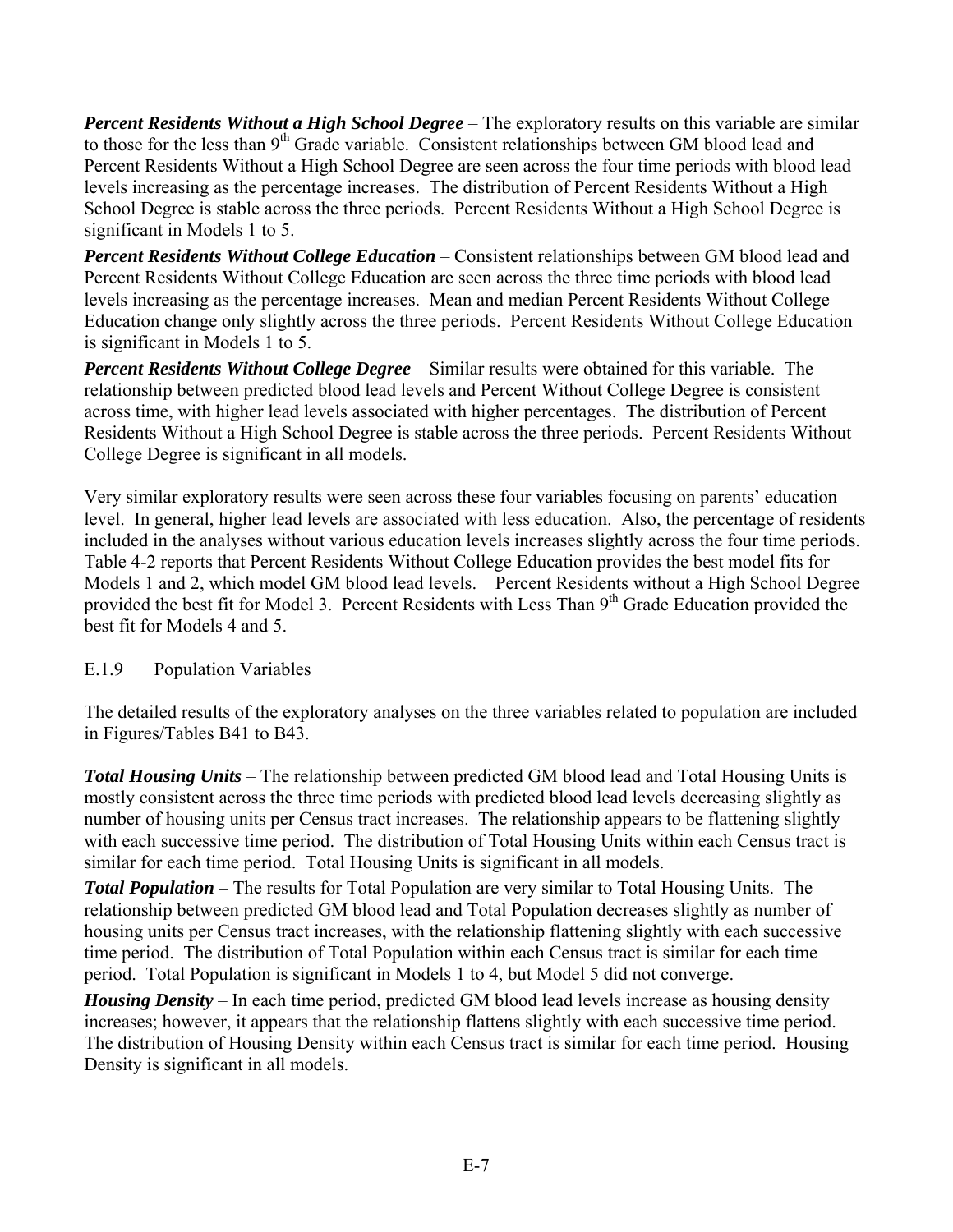*Percent Residents Without a High School Degree* – The exploratory results on this variable are similar to those for the less than 9<sup>th</sup> Grade variable. Consistent relationships between GM blood lead and Percent Residents Without a High School Degree are seen across the four time periods with blood lead levels increasing as the percentage increases. The distribution of Percent Residents Without a High School Degree is stable across the three periods. Percent Residents Without a High School Degree is significant in Models 1 to 5.

*Percent Residents Without College Education* – Consistent relationships between GM blood lead and Percent Residents Without College Education are seen across the three time periods with blood lead levels increasing as the percentage increases. Mean and median Percent Residents Without College Education change only slightly across the three periods. Percent Residents Without College Education is significant in Models 1 to 5.

*Percent Residents Without College Degree* – Similar results were obtained for this variable. The relationship between predicted blood lead levels and Percent Without College Degree is consistent across time, with higher lead levels associated with higher percentages. The distribution of Percent Residents Without a High School Degree is stable across the three periods. Percent Residents Without College Degree is significant in all models.

Very similar exploratory results were seen across these four variables focusing on parents' education level. In general, higher lead levels are associated with less education. Also, the percentage of residents included in the analyses without various education levels increases slightly across the four time periods. Table 4-2 reports that Percent Residents Without College Education provides the best model fits for Models 1 and 2, which model GM blood lead levels. Percent Residents without a High School Degree provided the best fit for Model 3. Percent Residents with Less Than 9<sup>th</sup> Grade Education provided the best fit for Models 4 and 5.

## E.1.9 Population Variables

The detailed results of the exploratory analyses on the three variables related to population are included in Figures/Tables B41 to B43.

*Total Housing Units* – The relationship between predicted GM blood lead and Total Housing Units is mostly consistent across the three time periods with predicted blood lead levels decreasing slightly as number of housing units per Census tract increases. The relationship appears to be flattening slightly with each successive time period. The distribution of Total Housing Units within each Census tract is similar for each time period. Total Housing Units is significant in all models.

*Total Population* – The results for Total Population are very similar to Total Housing Units. The relationship between predicted GM blood lead and Total Population decreases slightly as number of housing units per Census tract increases, with the relationship flattening slightly with each successive time period. The distribution of Total Population within each Census tract is similar for each time period. Total Population is significant in Models 1 to 4, but Model 5 did not converge.

*Housing Density* – In each time period, predicted GM blood lead levels increase as housing density increases; however, it appears that the relationship flattens slightly with each successive time period. The distribution of Housing Density within each Census tract is similar for each time period. Housing Density is significant in all models.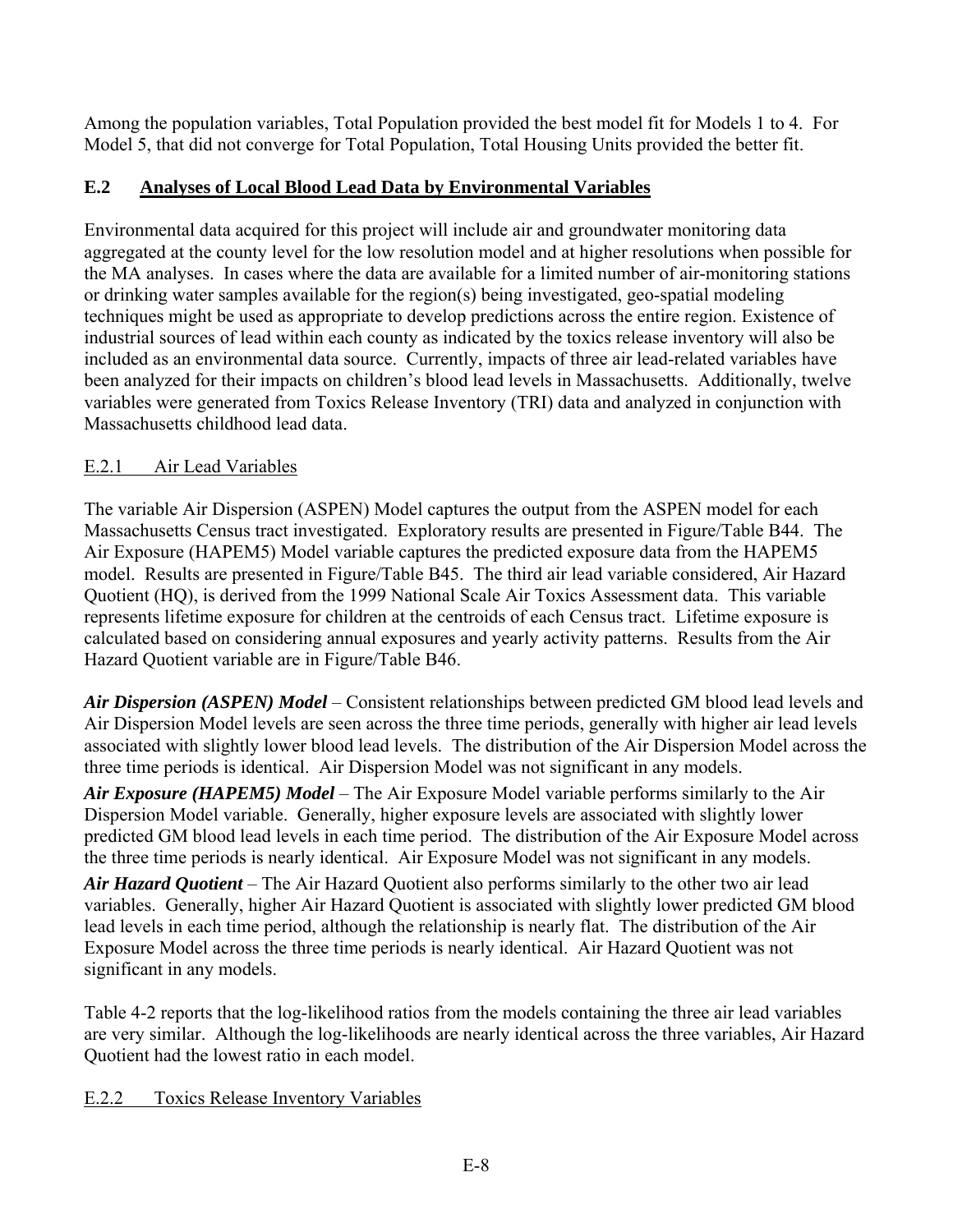Among the population variables, Total Population provided the best model fit for Models 1 to 4. For Model 5, that did not converge for Total Population, Total Housing Units provided the better fit.

# **E.2 Analyses of Local Blood Lead Data by Environmental Variables**

Environmental data acquired for this project will include air and groundwater monitoring data aggregated at the county level for the low resolution model and at higher resolutions when possible for the MA analyses. In cases where the data are available for a limited number of air-monitoring stations or drinking water samples available for the region(s) being investigated, geo-spatial modeling techniques might be used as appropriate to develop predictions across the entire region. Existence of industrial sources of lead within each county as indicated by the toxics release inventory will also be included as an environmental data source. Currently, impacts of three air lead-related variables have been analyzed for their impacts on children's blood lead levels in Massachusetts. Additionally, twelve variables were generated from Toxics Release Inventory (TRI) data and analyzed in conjunction with Massachusetts childhood lead data.

## E.2.1 Air Lead Variables

The variable Air Dispersion (ASPEN) Model captures the output from the ASPEN model for each Massachusetts Census tract investigated. Exploratory results are presented in Figure/Table B44. The Air Exposure (HAPEM5) Model variable captures the predicted exposure data from the HAPEM5 model. Results are presented in Figure/Table B45. The third air lead variable considered, Air Hazard Quotient (HQ), is derived from the 1999 National Scale Air Toxics Assessment data. This variable represents lifetime exposure for children at the centroids of each Census tract. Lifetime exposure is calculated based on considering annual exposures and yearly activity patterns. Results from the Air Hazard Quotient variable are in Figure/Table B46.

*Air Dispersion (ASPEN) Model* – Consistent relationships between predicted GM blood lead levels and Air Dispersion Model levels are seen across the three time periods, generally with higher air lead levels associated with slightly lower blood lead levels. The distribution of the Air Dispersion Model across the three time periods is identical. Air Dispersion Model was not significant in any models.

*Air Exposure (HAPEM5) Model* – The Air Exposure Model variable performs similarly to the Air Dispersion Model variable. Generally, higher exposure levels are associated with slightly lower predicted GM blood lead levels in each time period. The distribution of the Air Exposure Model across the three time periods is nearly identical. Air Exposure Model was not significant in any models.

*Air Hazard Quotient* – The Air Hazard Quotient also performs similarly to the other two air lead variables. Generally, higher Air Hazard Quotient is associated with slightly lower predicted GM blood lead levels in each time period, although the relationship is nearly flat. The distribution of the Air Exposure Model across the three time periods is nearly identical. Air Hazard Quotient was not significant in any models.

Table 4-2 reports that the log-likelihood ratios from the models containing the three air lead variables are very similar. Although the log-likelihoods are nearly identical across the three variables, Air Hazard Quotient had the lowest ratio in each model.

## E.2.2 Toxics Release Inventory Variables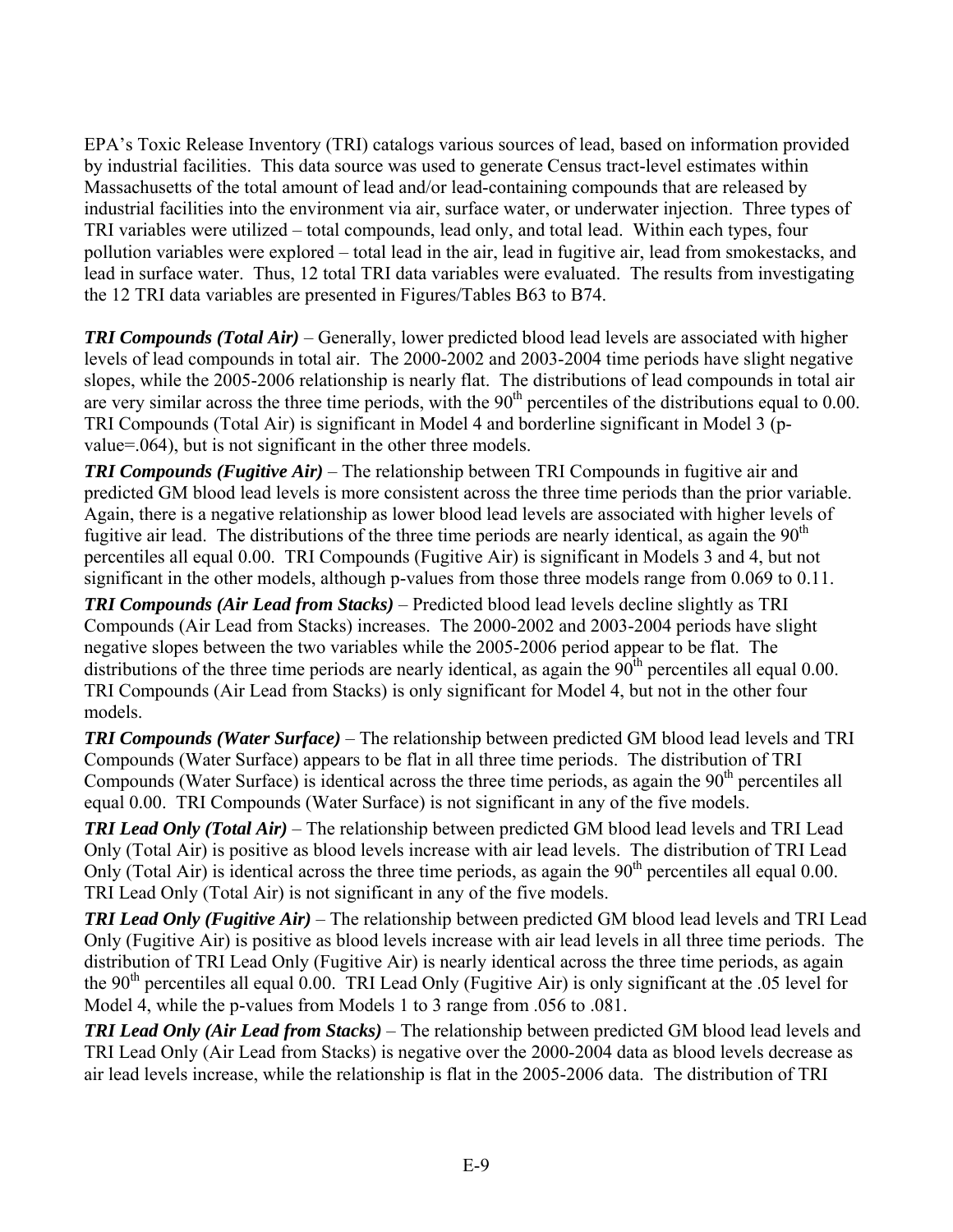EPA's Toxic Release Inventory (TRI) catalogs various sources of lead, based on information provided by industrial facilities. This data source was used to generate Census tract-level estimates within Massachusetts of the total amount of lead and/or lead-containing compounds that are released by industrial facilities into the environment via air, surface water, or underwater injection. Three types of TRI variables were utilized – total compounds, lead only, and total lead. Within each types, four pollution variables were explored – total lead in the air, lead in fugitive air, lead from smokestacks, and lead in surface water. Thus, 12 total TRI data variables were evaluated. The results from investigating the 12 TRI data variables are presented in Figures/Tables B63 to B74.

*TRI Compounds (Total Air)* – Generally, lower predicted blood lead levels are associated with higher levels of lead compounds in total air. The 2000-2002 and 2003-2004 time periods have slight negative slopes, while the 2005-2006 relationship is nearly flat. The distributions of lead compounds in total air are very similar across the three time periods, with the  $90<sup>th</sup>$  percentiles of the distributions equal to 0.00. TRI Compounds (Total Air) is significant in Model 4 and borderline significant in Model 3 (pvalue=.064), but is not significant in the other three models.

*TRI Compounds (Fugitive Air)* – The relationship between TRI Compounds in fugitive air and predicted GM blood lead levels is more consistent across the three time periods than the prior variable. Again, there is a negative relationship as lower blood lead levels are associated with higher levels of fugitive air lead. The distributions of the three time periods are nearly identical, as again the  $90<sup>th</sup>$ percentiles all equal 0.00. TRI Compounds (Fugitive Air) is significant in Models 3 and 4, but not significant in the other models, although p-values from those three models range from 0.069 to 0.11.

*TRI Compounds (Air Lead from Stacks)* – Predicted blood lead levels decline slightly as TRI Compounds (Air Lead from Stacks) increases. The 2000-2002 and 2003-2004 periods have slight negative slopes between the two variables while the 2005-2006 period appear to be flat. The distributions of the three time periods are nearly identical, as again the  $90<sup>th</sup>$  percentiles all equal 0.00. TRI Compounds (Air Lead from Stacks) is only significant for Model 4, but not in the other four models.

*TRI Compounds (Water Surface)* – The relationship between predicted GM blood lead levels and TRI Compounds (Water Surface) appears to be flat in all three time periods. The distribution of TRI Compounds (Water Surface) is identical across the three time periods, as again the 90<sup>th</sup> percentiles all equal 0.00. TRI Compounds (Water Surface) is not significant in any of the five models.

*TRI Lead Only (Total Air)* – The relationship between predicted GM blood lead levels and TRI Lead Only (Total Air) is positive as blood levels increase with air lead levels. The distribution of TRI Lead Only (Total Air) is identical across the three time periods, as again the  $90<sup>th</sup>$  percentiles all equal 0.00. TRI Lead Only (Total Air) is not significant in any of the five models.

*TRI Lead Only (Fugitive Air)* – The relationship between predicted GM blood lead levels and TRI Lead Only (Fugitive Air) is positive as blood levels increase with air lead levels in all three time periods. The distribution of TRI Lead Only (Fugitive Air) is nearly identical across the three time periods, as again the  $90<sup>th</sup>$  percentiles all equal 0.00. TRI Lead Only (Fugitive Air) is only significant at the .05 level for Model 4, while the p-values from Models 1 to 3 range from .056 to .081.

*TRI Lead Only (Air Lead from Stacks)* – The relationship between predicted GM blood lead levels and TRI Lead Only (Air Lead from Stacks) is negative over the 2000-2004 data as blood levels decrease as air lead levels increase, while the relationship is flat in the 2005-2006 data. The distribution of TRI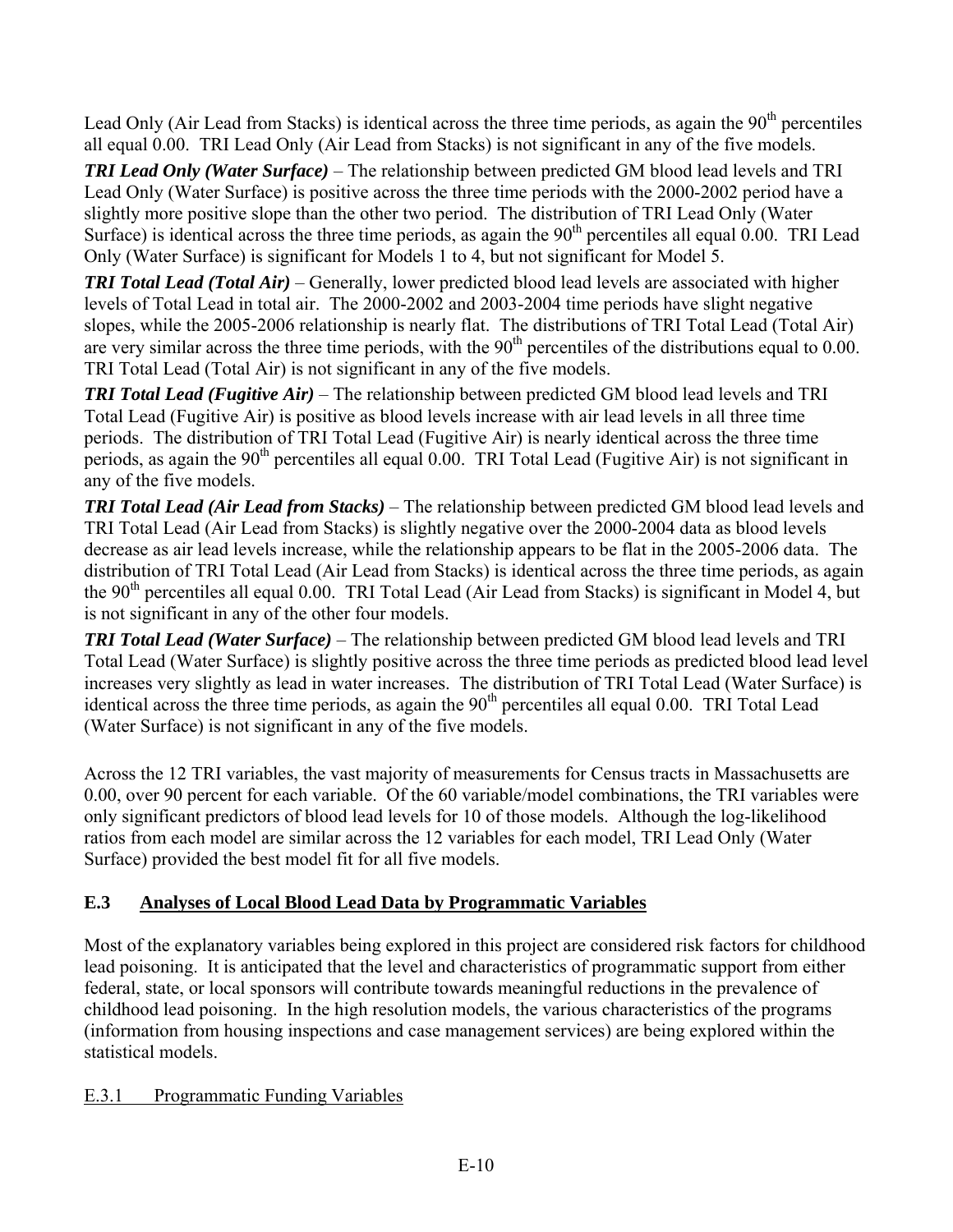Lead Only (Air Lead from Stacks) is identical across the three time periods, as again the 90<sup>th</sup> percentiles all equal 0.00. TRI Lead Only (Air Lead from Stacks) is not significant in any of the five models.

*TRI Lead Only (Water Surface)* – The relationship between predicted GM blood lead levels and TRI Lead Only (Water Surface) is positive across the three time periods with the 2000-2002 period have a slightly more positive slope than the other two period. The distribution of TRI Lead Only (Water Surface) is identical across the three time periods, as again the  $90<sup>th</sup>$  percentiles all equal 0.00. TRI Lead Only (Water Surface) is significant for Models 1 to 4, but not significant for Model 5.

*TRI Total Lead (Total Air)* – Generally, lower predicted blood lead levels are associated with higher levels of Total Lead in total air. The 2000-2002 and 2003-2004 time periods have slight negative slopes, while the 2005-2006 relationship is nearly flat. The distributions of TRI Total Lead (Total Air) are very similar across the three time periods, with the  $90<sup>th</sup>$  percentiles of the distributions equal to 0.00. TRI Total Lead (Total Air) is not significant in any of the five models.

*TRI Total Lead (Fugitive Air)* – The relationship between predicted GM blood lead levels and TRI Total Lead (Fugitive Air) is positive as blood levels increase with air lead levels in all three time periods. The distribution of TRI Total Lead (Fugitive Air) is nearly identical across the three time periods, as again the 90<sup>th</sup> percentiles all equal 0.00. TRI Total Lead (Fugitive Air) is not significant in any of the five models.

*TRI Total Lead (Air Lead from Stacks)* – The relationship between predicted GM blood lead levels and TRI Total Lead (Air Lead from Stacks) is slightly negative over the 2000-2004 data as blood levels decrease as air lead levels increase, while the relationship appears to be flat in the 2005-2006 data. The distribution of TRI Total Lead (Air Lead from Stacks) is identical across the three time periods, as again the 90<sup>th</sup> percentiles all equal 0.00. TRI Total Lead (Air Lead from Stacks) is significant in Model 4, but is not significant in any of the other four models.

*TRI Total Lead (Water Surface)* – The relationship between predicted GM blood lead levels and TRI Total Lead (Water Surface) is slightly positive across the three time periods as predicted blood lead level increases very slightly as lead in water increases. The distribution of TRI Total Lead (Water Surface) is identical across the three time periods, as again the 90<sup>th</sup> percentiles all equal 0.00. TRI Total Lead (Water Surface) is not significant in any of the five models.

Across the 12 TRI variables, the vast majority of measurements for Census tracts in Massachusetts are 0.00, over 90 percent for each variable. Of the 60 variable/model combinations, the TRI variables were only significant predictors of blood lead levels for 10 of those models. Although the log-likelihood ratios from each model are similar across the 12 variables for each model, TRI Lead Only (Water Surface) provided the best model fit for all five models.

# **E.3 Analyses of Local Blood Lead Data by Programmatic Variables**

Most of the explanatory variables being explored in this project are considered risk factors for childhood lead poisoning. It is anticipated that the level and characteristics of programmatic support from either federal, state, or local sponsors will contribute towards meaningful reductions in the prevalence of childhood lead poisoning. In the high resolution models, the various characteristics of the programs (information from housing inspections and case management services) are being explored within the statistical models.

## E.3.1 Programmatic Funding Variables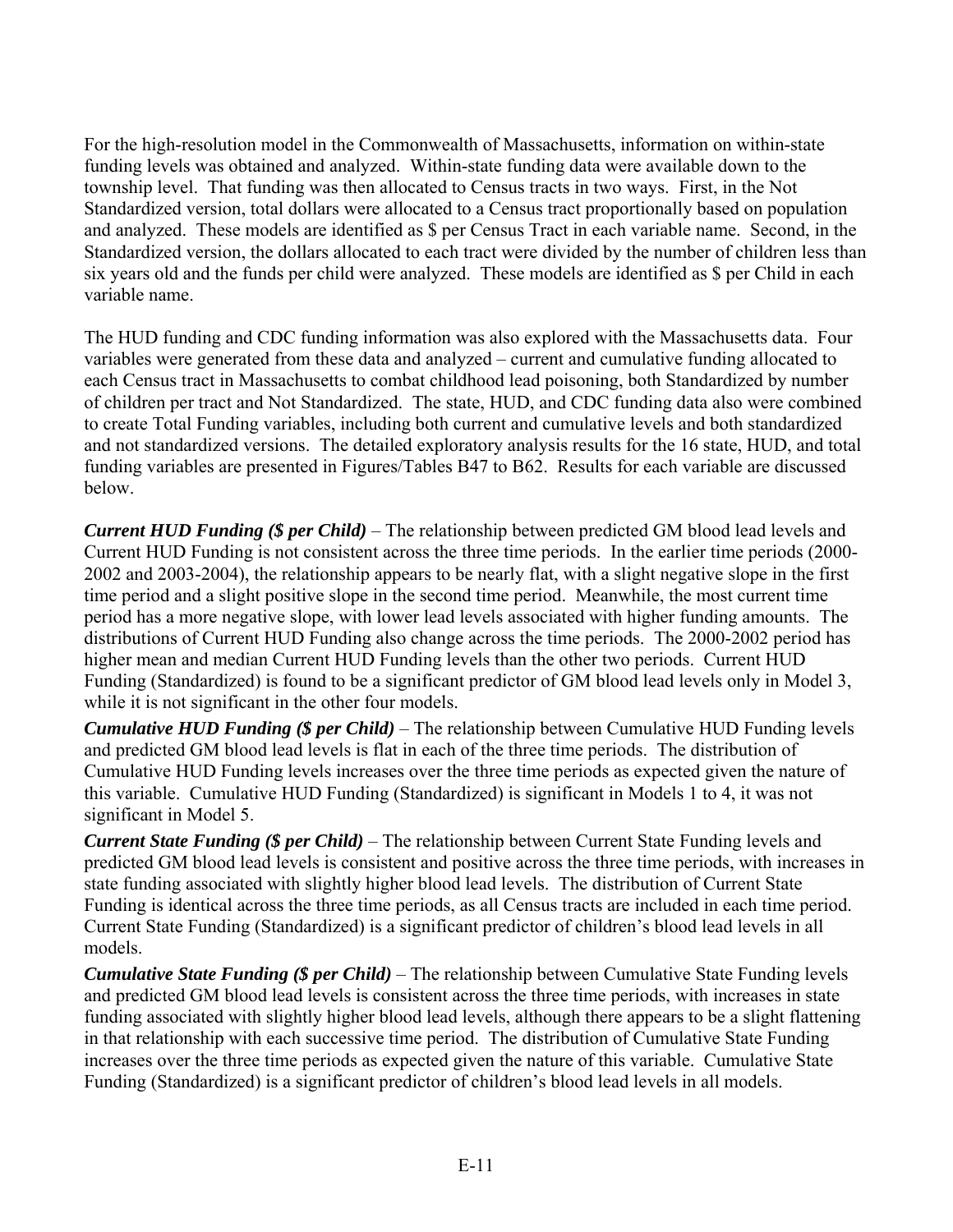For the high-resolution model in the Commonwealth of Massachusetts, information on within-state funding levels was obtained and analyzed. Within-state funding data were available down to the township level. That funding was then allocated to Census tracts in two ways. First, in the Not Standardized version, total dollars were allocated to a Census tract proportionally based on population and analyzed. These models are identified as \$ per Census Tract in each variable name. Second, in the Standardized version, the dollars allocated to each tract were divided by the number of children less than six years old and the funds per child were analyzed. These models are identified as \$ per Child in each variable name.

The HUD funding and CDC funding information was also explored with the Massachusetts data. Four variables were generated from these data and analyzed – current and cumulative funding allocated to each Census tract in Massachusetts to combat childhood lead poisoning, both Standardized by number of children per tract and Not Standardized. The state, HUD, and CDC funding data also were combined to create Total Funding variables, including both current and cumulative levels and both standardized and not standardized versions. The detailed exploratory analysis results for the 16 state, HUD, and total funding variables are presented in Figures/Tables B47 to B62. Results for each variable are discussed below.

*Current HUD Funding (\$ per Child)* – The relationship between predicted GM blood lead levels and Current HUD Funding is not consistent across the three time periods. In the earlier time periods (2000- 2002 and 2003-2004), the relationship appears to be nearly flat, with a slight negative slope in the first time period and a slight positive slope in the second time period. Meanwhile, the most current time period has a more negative slope, with lower lead levels associated with higher funding amounts. The distributions of Current HUD Funding also change across the time periods. The 2000-2002 period has higher mean and median Current HUD Funding levels than the other two periods. Current HUD Funding (Standardized) is found to be a significant predictor of GM blood lead levels only in Model 3, while it is not significant in the other four models.

*Cumulative HUD Funding (\$ per Child)* – The relationship between Cumulative HUD Funding levels and predicted GM blood lead levels is flat in each of the three time periods. The distribution of Cumulative HUD Funding levels increases over the three time periods as expected given the nature of this variable. Cumulative HUD Funding (Standardized) is significant in Models 1 to 4, it was not significant in Model 5.

*Current State Funding* (\$*per Child*) – The relationship between Current State Funding levels and predicted GM blood lead levels is consistent and positive across the three time periods, with increases in state funding associated with slightly higher blood lead levels. The distribution of Current State Funding is identical across the three time periods, as all Census tracts are included in each time period. Current State Funding (Standardized) is a significant predictor of children's blood lead levels in all models.

*Cumulative State Funding* (\$ *per Child*) – The relationship between Cumulative State Funding levels and predicted GM blood lead levels is consistent across the three time periods, with increases in state funding associated with slightly higher blood lead levels, although there appears to be a slight flattening in that relationship with each successive time period. The distribution of Cumulative State Funding increases over the three time periods as expected given the nature of this variable. Cumulative State Funding (Standardized) is a significant predictor of children's blood lead levels in all models.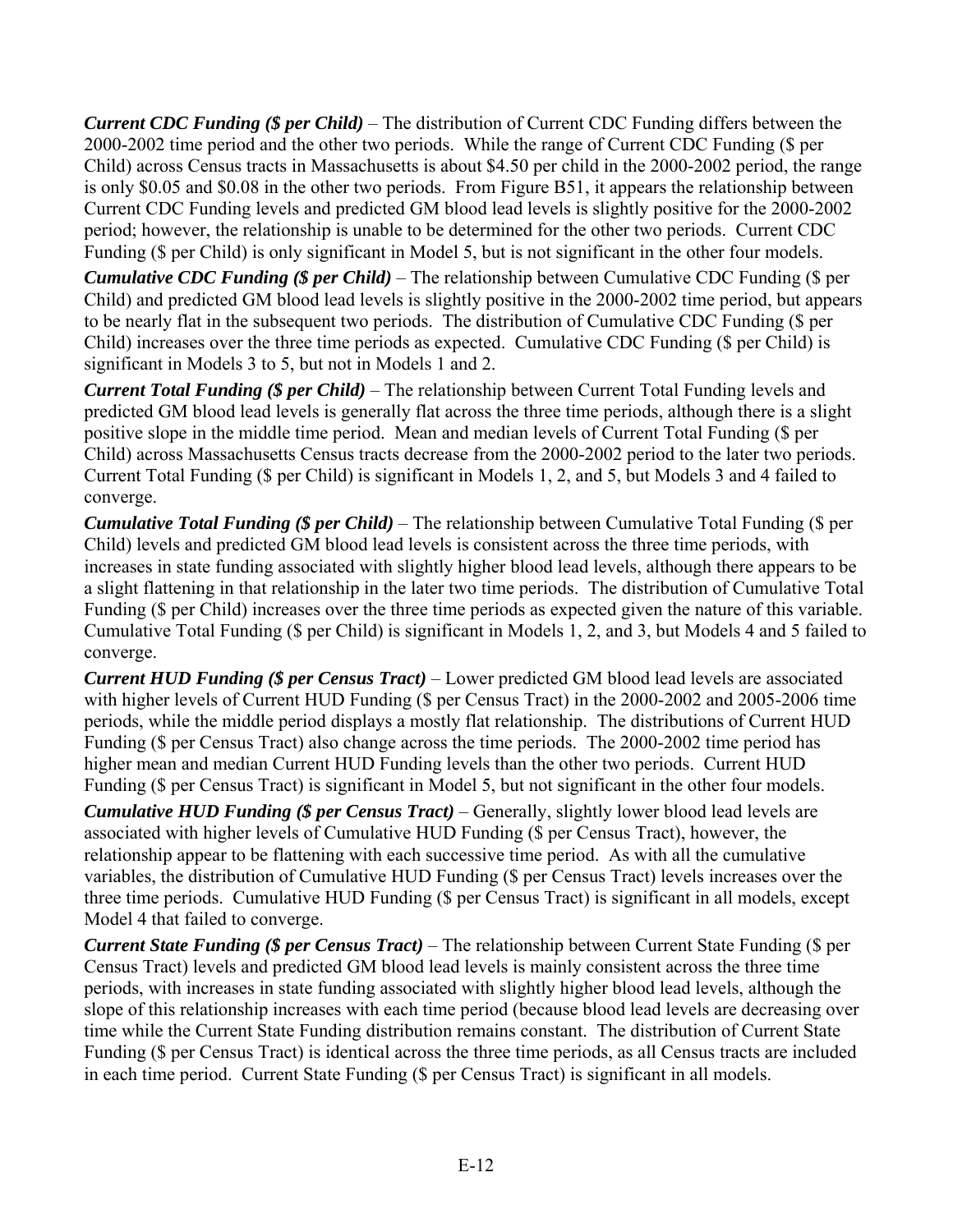*Current CDC Funding* (\$*per Child*) – The distribution of Current CDC Funding differs between the 2000-2002 time period and the other two periods. While the range of Current CDC Funding (\$ per Child) across Census tracts in Massachusetts is about \$4.50 per child in the 2000-2002 period, the range is only \$0.05 and \$0.08 in the other two periods. From Figure B51, it appears the relationship between Current CDC Funding levels and predicted GM blood lead levels is slightly positive for the 2000-2002 period; however, the relationship is unable to be determined for the other two periods. Current CDC Funding (\$ per Child) is only significant in Model 5, but is not significant in the other four models.

*Cumulative CDC Funding (\$ per Child)* – The relationship between Cumulative CDC Funding (\$ per Child) and predicted GM blood lead levels is slightly positive in the 2000-2002 time period, but appears to be nearly flat in the subsequent two periods. The distribution of Cumulative CDC Funding (\$ per Child) increases over the three time periods as expected. Cumulative CDC Funding (\$ per Child) is significant in Models 3 to 5, but not in Models 1 and 2.

*Current Total Funding (\$ per Child)* – The relationship between Current Total Funding levels and predicted GM blood lead levels is generally flat across the three time periods, although there is a slight positive slope in the middle time period. Mean and median levels of Current Total Funding (\$ per Child) across Massachusetts Census tracts decrease from the 2000-2002 period to the later two periods. Current Total Funding (\$ per Child) is significant in Models 1, 2, and 5, but Models 3 and 4 failed to converge.

*Cumulative Total Funding (\$ per Child)* – The relationship between Cumulative Total Funding (\$ per Child) levels and predicted GM blood lead levels is consistent across the three time periods, with increases in state funding associated with slightly higher blood lead levels, although there appears to be a slight flattening in that relationship in the later two time periods. The distribution of Cumulative Total Funding (\$ per Child) increases over the three time periods as expected given the nature of this variable. Cumulative Total Funding (\$ per Child) is significant in Models 1, 2, and 3, but Models 4 and 5 failed to converge.

*Current HUD Funding (\$ per Census Tract)* – Lower predicted GM blood lead levels are associated with higher levels of Current HUD Funding (\$ per Census Tract) in the 2000-2002 and 2005-2006 time periods, while the middle period displays a mostly flat relationship. The distributions of Current HUD Funding (\$ per Census Tract) also change across the time periods. The 2000-2002 time period has higher mean and median Current HUD Funding levels than the other two periods. Current HUD Funding (\$ per Census Tract) is significant in Model 5, but not significant in the other four models.

*Cumulative HUD Funding* (\$ *per Census Tract*) – Generally, slightly lower blood lead levels are associated with higher levels of Cumulative HUD Funding (\$ per Census Tract), however, the relationship appear to be flattening with each successive time period. As with all the cumulative variables, the distribution of Cumulative HUD Funding (\$ per Census Tract) levels increases over the three time periods. Cumulative HUD Funding (\$ per Census Tract) is significant in all models, except Model 4 that failed to converge.

*Current State Funding (\$ per Census Tract)* – The relationship between Current State Funding (\$ per Census Tract) levels and predicted GM blood lead levels is mainly consistent across the three time periods, with increases in state funding associated with slightly higher blood lead levels, although the slope of this relationship increases with each time period (because blood lead levels are decreasing over time while the Current State Funding distribution remains constant. The distribution of Current State Funding (\$ per Census Tract) is identical across the three time periods, as all Census tracts are included in each time period. Current State Funding (\$ per Census Tract) is significant in all models.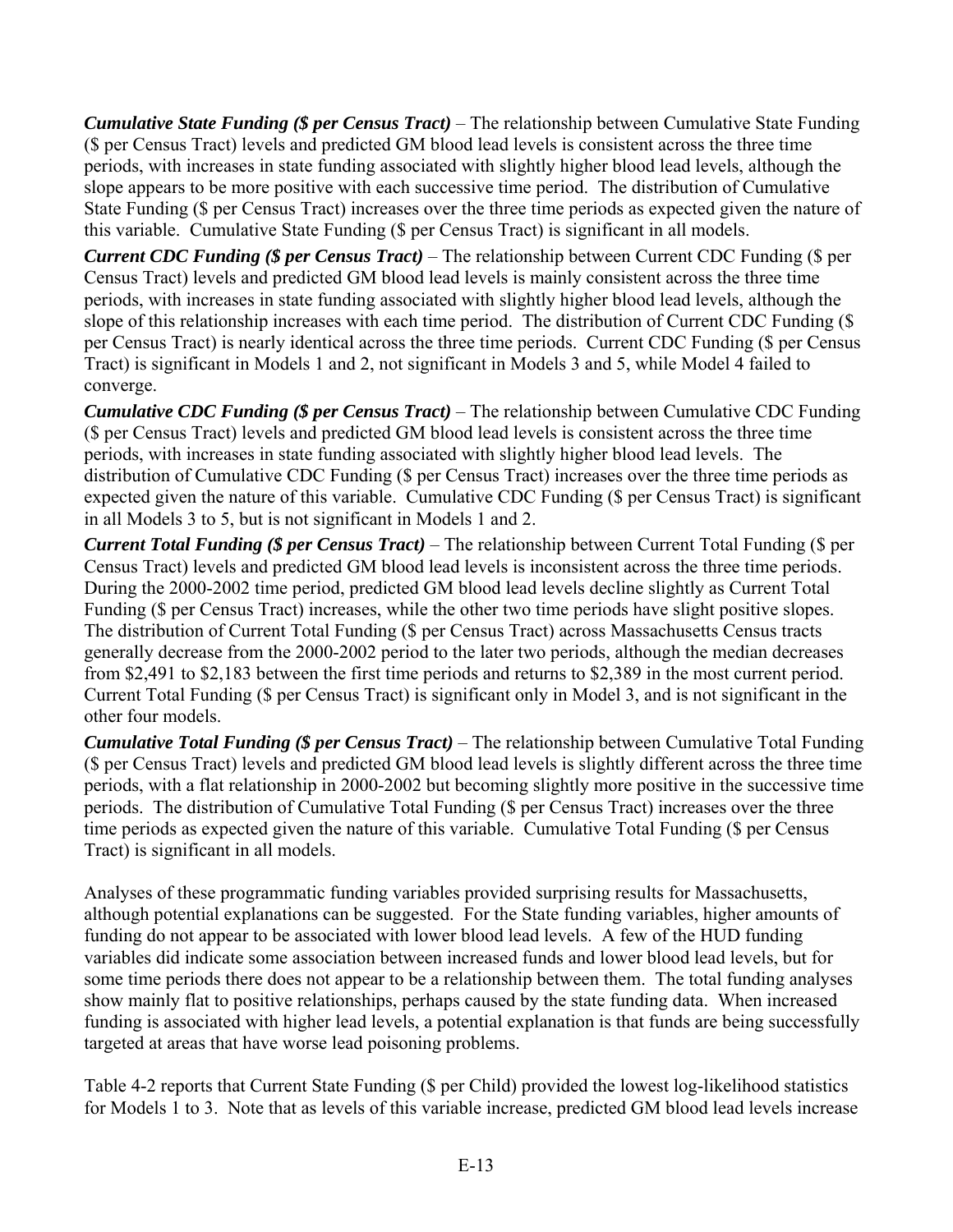*Cumulative State Funding (\$ per Census Tract)* – The relationship between Cumulative State Funding (\$ per Census Tract) levels and predicted GM blood lead levels is consistent across the three time periods, with increases in state funding associated with slightly higher blood lead levels, although the slope appears to be more positive with each successive time period. The distribution of Cumulative State Funding (\$ per Census Tract) increases over the three time periods as expected given the nature of this variable. Cumulative State Funding (\$ per Census Tract) is significant in all models.

*Current CDC Funding (\$ per Census Tract)* – The relationship between Current CDC Funding (\$ per Census Tract) levels and predicted GM blood lead levels is mainly consistent across the three time periods, with increases in state funding associated with slightly higher blood lead levels, although the slope of this relationship increases with each time period. The distribution of Current CDC Funding (\$ per Census Tract) is nearly identical across the three time periods. Current CDC Funding (\$ per Census Tract) is significant in Models 1 and 2, not significant in Models 3 and 5, while Model 4 failed to converge.

*Cumulative CDC Funding (\$ per Census Tract)* – The relationship between Cumulative CDC Funding (\$ per Census Tract) levels and predicted GM blood lead levels is consistent across the three time periods, with increases in state funding associated with slightly higher blood lead levels. The distribution of Cumulative CDC Funding (\$ per Census Tract) increases over the three time periods as expected given the nature of this variable. Cumulative CDC Funding (\$ per Census Tract) is significant in all Models 3 to 5, but is not significant in Models 1 and 2.

*Current Total Funding (\$ per Census Tract)* – The relationship between Current Total Funding (\$ per Census Tract) levels and predicted GM blood lead levels is inconsistent across the three time periods. During the 2000-2002 time period, predicted GM blood lead levels decline slightly as Current Total Funding (\$ per Census Tract) increases, while the other two time periods have slight positive slopes. The distribution of Current Total Funding (\$ per Census Tract) across Massachusetts Census tracts generally decrease from the 2000-2002 period to the later two periods, although the median decreases from \$2,491 to \$2,183 between the first time periods and returns to \$2,389 in the most current period. Current Total Funding (\$ per Census Tract) is significant only in Model 3, and is not significant in the other four models.

*Cumulative Total Funding (\$ per Census Tract)* – The relationship between Cumulative Total Funding (\$ per Census Tract) levels and predicted GM blood lead levels is slightly different across the three time periods, with a flat relationship in 2000-2002 but becoming slightly more positive in the successive time periods. The distribution of Cumulative Total Funding (\$ per Census Tract) increases over the three time periods as expected given the nature of this variable. Cumulative Total Funding (\$ per Census Tract) is significant in all models.

Analyses of these programmatic funding variables provided surprising results for Massachusetts, although potential explanations can be suggested. For the State funding variables, higher amounts of funding do not appear to be associated with lower blood lead levels. A few of the HUD funding variables did indicate some association between increased funds and lower blood lead levels, but for some time periods there does not appear to be a relationship between them. The total funding analyses show mainly flat to positive relationships, perhaps caused by the state funding data. When increased funding is associated with higher lead levels, a potential explanation is that funds are being successfully targeted at areas that have worse lead poisoning problems.

Table 4-2 reports that Current State Funding (\$ per Child) provided the lowest log-likelihood statistics for Models 1 to 3. Note that as levels of this variable increase, predicted GM blood lead levels increase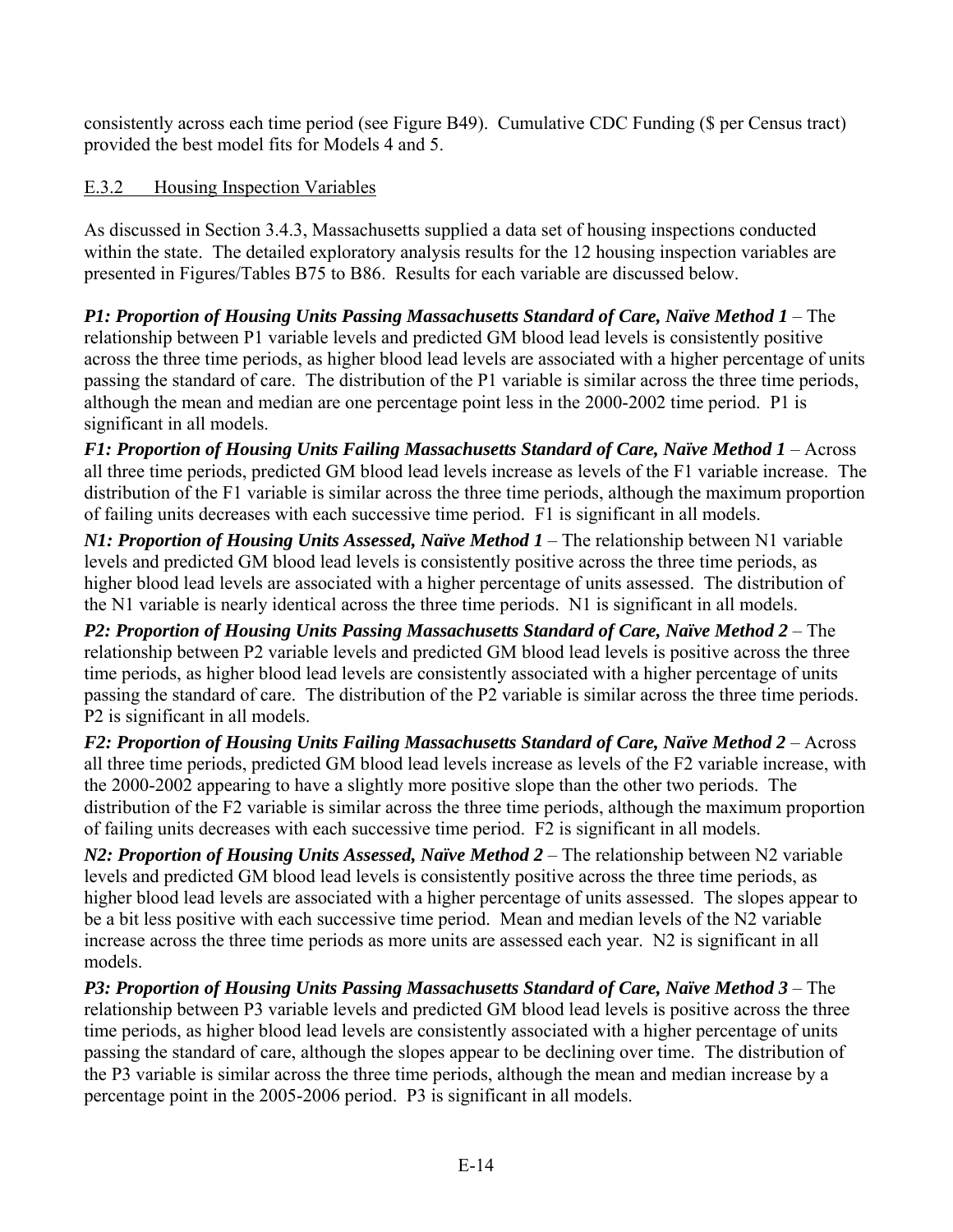consistently across each time period (see Figure B49). Cumulative CDC Funding (\$ per Census tract) provided the best model fits for Models 4 and 5.

# E.3.2 Housing Inspection Variables

As discussed in Section 3.4.3, Massachusetts supplied a data set of housing inspections conducted within the state. The detailed exploratory analysis results for the 12 housing inspection variables are presented in Figures/Tables B75 to B86. Results for each variable are discussed below.

*P1: Proportion of Housing Units Passing Massachusetts Standard of Care, Naïve Method 1 – The* relationship between P1 variable levels and predicted GM blood lead levels is consistently positive across the three time periods, as higher blood lead levels are associated with a higher percentage of units passing the standard of care. The distribution of the P1 variable is similar across the three time periods, although the mean and median are one percentage point less in the 2000-2002 time period. P1 is significant in all models.

*F1: Proportion of Housing Units Failing Massachusetts Standard of Care, Naïve Method 1 – Across* all three time periods, predicted GM blood lead levels increase as levels of the F1 variable increase. The distribution of the F1 variable is similar across the three time periods, although the maximum proportion of failing units decreases with each successive time period. F1 is significant in all models.

*N1: Proportion of Housing Units Assessed, Naïve Method 1* – The relationship between N1 variable levels and predicted GM blood lead levels is consistently positive across the three time periods, as higher blood lead levels are associated with a higher percentage of units assessed. The distribution of the N1 variable is nearly identical across the three time periods. N1 is significant in all models.

*P2: Proportion of Housing Units Passing Massachusetts Standard of Care, Naïve Method 2 – The* relationship between P2 variable levels and predicted GM blood lead levels is positive across the three time periods, as higher blood lead levels are consistently associated with a higher percentage of units passing the standard of care. The distribution of the P2 variable is similar across the three time periods. P2 is significant in all models.

*F2: Proportion of Housing Units Failing Massachusetts Standard of Care, Naïve Method 2 – Across* all three time periods, predicted GM blood lead levels increase as levels of the F2 variable increase, with the 2000-2002 appearing to have a slightly more positive slope than the other two periods. The distribution of the F2 variable is similar across the three time periods, although the maximum proportion of failing units decreases with each successive time period. F2 is significant in all models.

*N2: Proportion of Housing Units Assessed, Naïve Method 2* – The relationship between N2 variable levels and predicted GM blood lead levels is consistently positive across the three time periods, as higher blood lead levels are associated with a higher percentage of units assessed. The slopes appear to be a bit less positive with each successive time period. Mean and median levels of the N2 variable increase across the three time periods as more units are assessed each year. N2 is significant in all models.

*P3: Proportion of Housing Units Passing Massachusetts Standard of Care, Naïve Method 3 – The* relationship between P3 variable levels and predicted GM blood lead levels is positive across the three time periods, as higher blood lead levels are consistently associated with a higher percentage of units passing the standard of care, although the slopes appear to be declining over time. The distribution of the P3 variable is similar across the three time periods, although the mean and median increase by a percentage point in the 2005-2006 period. P3 is significant in all models.